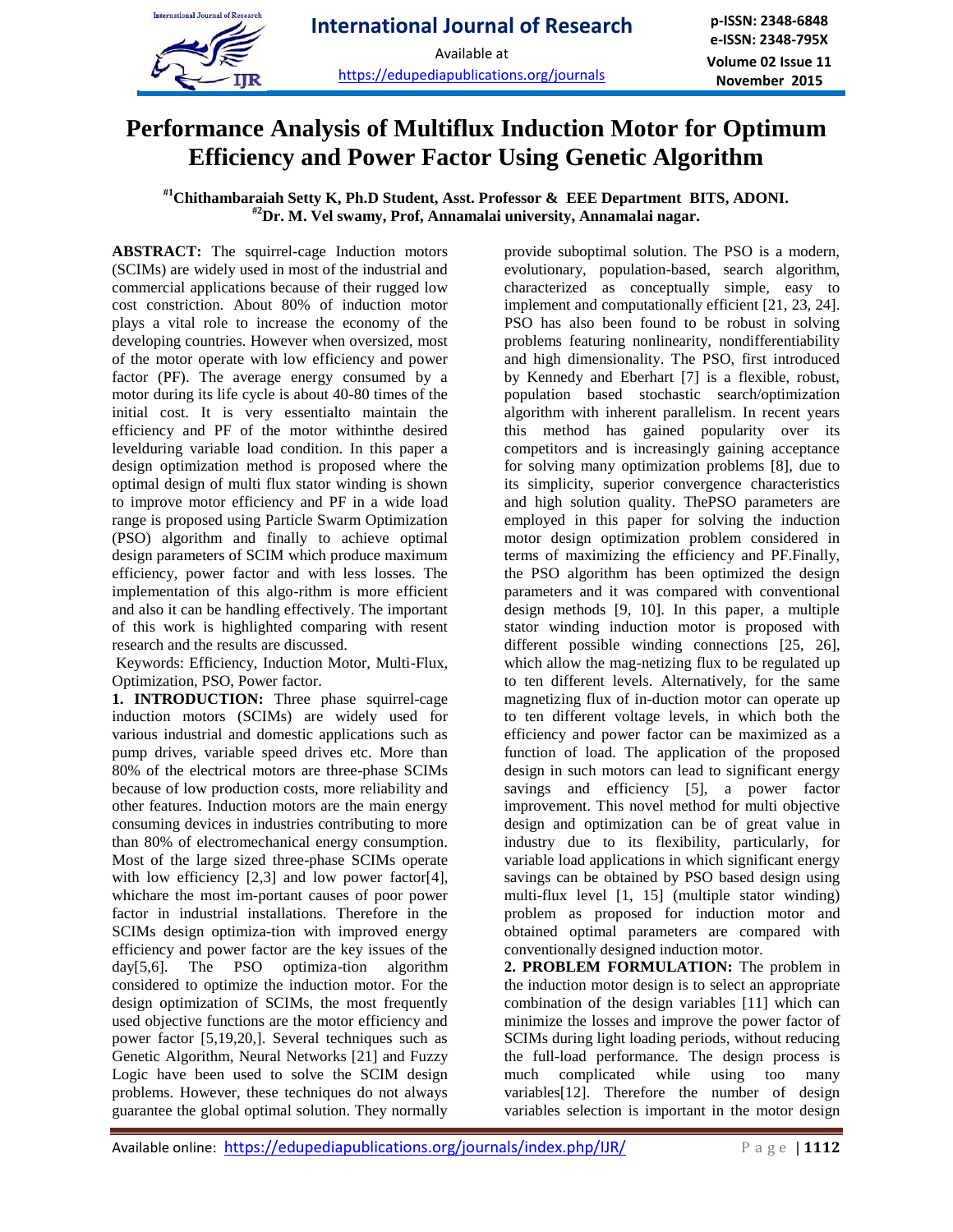

# **Performance Analysis of Multiflux Induction Motor for Optimum Efficiency and Power Factor Using Genetic Algorithm**

## **#1Chithambaraiah Setty K, Ph.D Student, Asst. Professor & EEE Department BITS, ADONI. #2Dr. M. Vel swamy, Prof, Annamalai university, Annamalai nagar.**

**ABSTRACT:** The squirrel-cage Induction motors (SCIMs) are widely used in most of the industrial and commercial applications because of their rugged low cost constriction. About 80% of induction motor plays a vital role to increase the economy of the developing countries. However when oversized, most of the motor operate with low efficiency and power factor (PF). The average energy consumed by a motor during its life cycle is about 40-80 times of the initial cost. It is very essentialto maintain the efficiency and PF of the motor withinthe desired levelduring variable load condition. In this paper a design optimization method is proposed where the optimal design of multi flux stator winding is shown to improve motor efficiency and PF in a wide load range is proposed using Particle Swarm Optimization (PSO) algorithm and finally to achieve optimal design parameters of SCIM which produce maximum efficiency, power factor and with less losses. The implementation of this algo-rithm is more efficient and also it can be handling effectively. The important of this work is highlighted comparing with resent research and the results are discussed.

Keywords: Efficiency, Induction Motor, Multi-Flux, Optimization, PSO, Power factor.

**1. INTRODUCTION:** Three phase squirrel-cage induction motors (SCIMs) are widely used for various industrial and domestic applications such as pump drives, variable speed drives etc. More than 80% of the electrical motors are three-phase SCIMs because of low production costs, more reliability and other features. Induction motors are the main energy consuming devices in industries contributing to more than 80% of electromechanical energy consumption. Most of the large sized three-phase SCIMs operate with low efficiency [2,3] and low power factor[4], whichare the most im-portant causes of poor power factor in industrial installations. Therefore in the SCIMs design optimiza-tion with improved energy efficiency and power factor are the key issues of the day[5,6]. The PSO optimiza-tion algorithm considered to optimize the induction motor. For the design optimization of SCIMs, the most frequently used objective functions are the motor efficiency and power factor [5,19,20,]. Several techniques such as Genetic Algorithm, Neural Networks [21] and Fuzzy Logic have been used to solve the SCIM design problems. However, these techniques do not always guarantee the global optimal solution. They normally

provide suboptimal solution. The PSO is a modern, evolutionary, population-based, search algorithm, characterized as conceptually simple, easy to implement and computationally efficient [21, 23, 24]. PSO has also been found to be robust in solving problems featuring nonlinearity, nondifferentiability and high dimensionality. The PSO, first introduced by Kennedy and Eberhart [7] is a flexible, robust, population based stochastic search/optimization algorithm with inherent parallelism. In recent years this method has gained popularity over its competitors and is increasingly gaining acceptance for solving many optimization problems [8], due to its simplicity, superior convergence characteristics and high solution quality. ThePSO parameters are employed in this paper for solving the induction motor design optimization problem considered in terms of maximizing the efficiency and PF.Finally, the PSO algorithm has been optimized the design parameters and it was compared with conventional design methods [9, 10]. In this paper, a multiple stator winding induction motor is proposed with different possible winding connections [25, 26], which allow the mag-netizing flux to be regulated up to ten different levels. Alternatively, for the same magnetizing flux of in-duction motor can operate up to ten different voltage levels, in which both the efficiency and power factor can be maximized as a function of load. The application of the proposed design in such motors can lead to significant energy savings and efficiency [5], a power factor improvement. This novel method for multi objective design and optimization can be of great value in industry due to its flexibility, particularly, for variable load applications in which significant energy savings can be obtained by PSO based design using multi-flux level [1, 15] (multiple stator winding) problem as proposed for induction motor and obtained optimal parameters are compared with conventionally designed induction motor.

**2. PROBLEM FORMULATION:** The problem in the induction motor design is to select an appropriate combination of the design variables [11] which can minimize the losses and improve the power factor of SCIMs during light loading periods, without reducing the full-load performance. The design process is much complicated while using too many variables[12]. Therefore the number of design variables selection is important in the motor design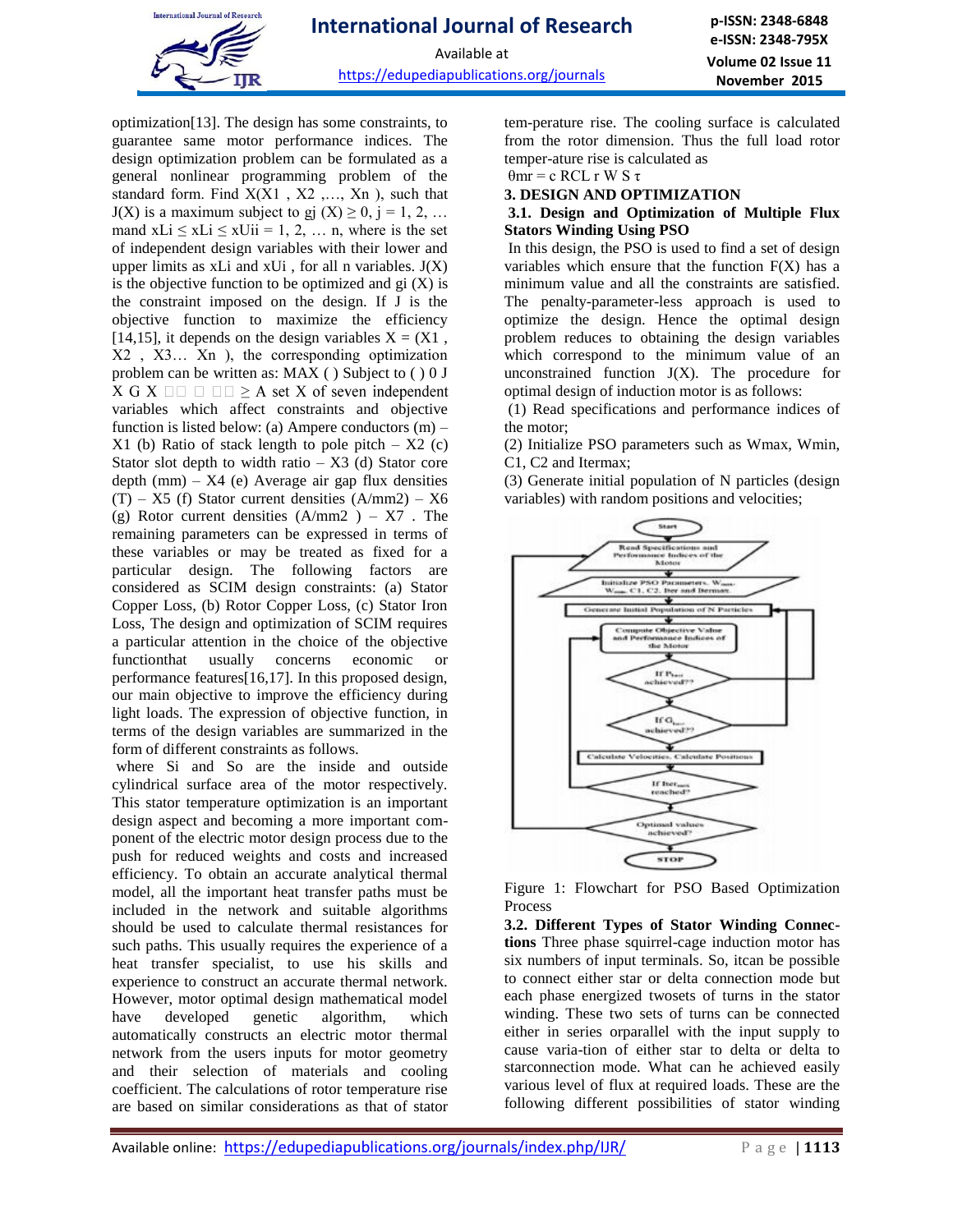

Available at

https://edupediapublications.org/journals

optimization[13]. The design has some constraints, to guarantee same motor performance indices. The design optimization problem can be formulated as a general nonlinear programming problem of the standard form. Find X(X1 , X2 ,…, Xn ), such that  $J(X)$  is a maximum subject to gj  $(X) \ge 0$ , j = 1, 2, ... mand  $xLi \leq xLi \leq xUi = 1, 2, ...$  n, where is the set of independent design variables with their lower and upper limits as  $xLi$  and  $xUi$ , for all n variables.  $J(X)$ is the objective function to be optimized and  $gi(X)$  is the constraint imposed on the design. If J is the objective function to maximize the efficiency [14,15], it depends on the design variables  $X = (X1, 1)$ X2 , X3… Xn ), the corresponding optimization problem can be written as: MAX ( ) Subject to ( ) 0 J X G X  $\Box$   $\Box$   $\Box$   $\Box$   $\geq$  A set X of seven independent variables which affect constraints and objective function is listed below: (a) Ampere conductors (m) –  $X1$  (b) Ratio of stack length to pole pitch –  $X2$  (c) Stator slot depth to width ratio  $- X3$  (d) Stator core depth  $(nm) - X4$  (e) Average air gap flux densities  $(T) - X5$  (f) Stator current densities  $(A/mm2) - X6$ (g) Rotor current densities  $(A/mm2) - X7$ . The remaining parameters can be expressed in terms of these variables or may be treated as fixed for a particular design. The following factors are considered as SCIM design constraints: (a) Stator Copper Loss, (b) Rotor Copper Loss, (c) Stator Iron Loss, The design and optimization of SCIM requires a particular attention in the choice of the objective functionthat usually concerns economic or performance features[16,17]. In this proposed design, our main objective to improve the efficiency during light loads. The expression of objective function, in terms of the design variables are summarized in the form of different constraints as follows.

where Si and So are the inside and outside cylindrical surface area of the motor respectively. This stator temperature optimization is an important design aspect and becoming a more important component of the electric motor design process due to the push for reduced weights and costs and increased efficiency. To obtain an accurate analytical thermal model, all the important heat transfer paths must be included in the network and suitable algorithms should be used to calculate thermal resistances for such paths. This usually requires the experience of a heat transfer specialist, to use his skills and experience to construct an accurate thermal network. However, motor optimal design mathematical model have developed genetic algorithm, which automatically constructs an electric motor thermal network from the users inputs for motor geometry and their selection of materials and cooling coefficient. The calculations of rotor temperature rise are based on similar considerations as that of stator tem-perature rise. The cooling surface is calculated from the rotor dimension. Thus the full load rotor temper-ature rise is calculated as

 $θ$ mr = c RCL r W S τ

## **3. DESIGN AND OPTIMIZATION**

## **3.1. Design and Optimization of Multiple Flux Stators Winding Using PSO**

In this design, the PSO is used to find a set of design variables which ensure that the function  $F(X)$  has a minimum value and all the constraints are satisfied. The penalty-parameter-less approach is used to optimize the design. Hence the optimal design problem reduces to obtaining the design variables which correspond to the minimum value of an unconstrained function  $J(X)$ . The procedure for optimal design of induction motor is as follows:

(1) Read specifications and performance indices of the motor;

(2) Initialize PSO parameters such as Wmax, Wmin, C1, C2 and Itermax;

(3) Generate initial population of N particles (design variables) with random positions and velocities;



Figure 1: Flowchart for PSO Based Optimization Process

**3.2. Different Types of Stator Winding Connections** Three phase squirrel-cage induction motor has six numbers of input terminals. So, itcan be possible to connect either star or delta connection mode but each phase energized twosets of turns in the stator winding. These two sets of turns can be connected either in series orparallel with the input supply to cause varia-tion of either star to delta or delta to starconnection mode. What can he achieved easily various level of flux at required loads. These are the following different possibilities of stator winding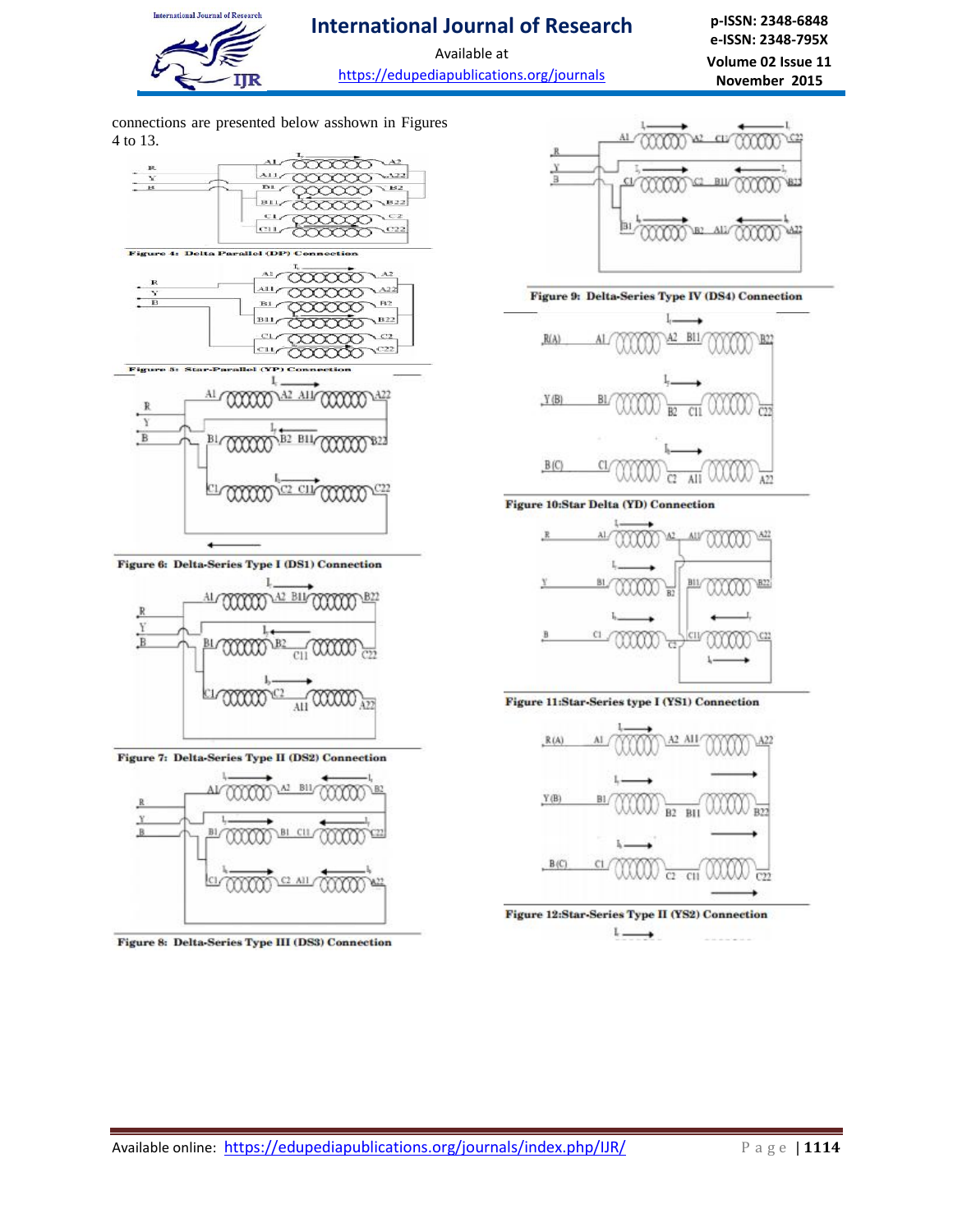

Available at https://edupediapublications.org/journals

**p-ISSN: 2348-6848 e-ISSN: 2348-795X Volume 02 Issue 11 November 2015**

connections are presented below asshown in Figures 4 to 13.



Figure 6: Delta-Series Type I (DS1) Connection



Figure 7: Delta-Series Type II (DS2) Connection



Figure 8: Delta-Series Type III (DS3) Connection



#### Figure 9: Delta-Series Type IV (DS4) Connection







Figure 11:Star-Series type I (YS1) Connection



Figure 12:Star-Series Type II (YS2) Connection  $L =$ ∸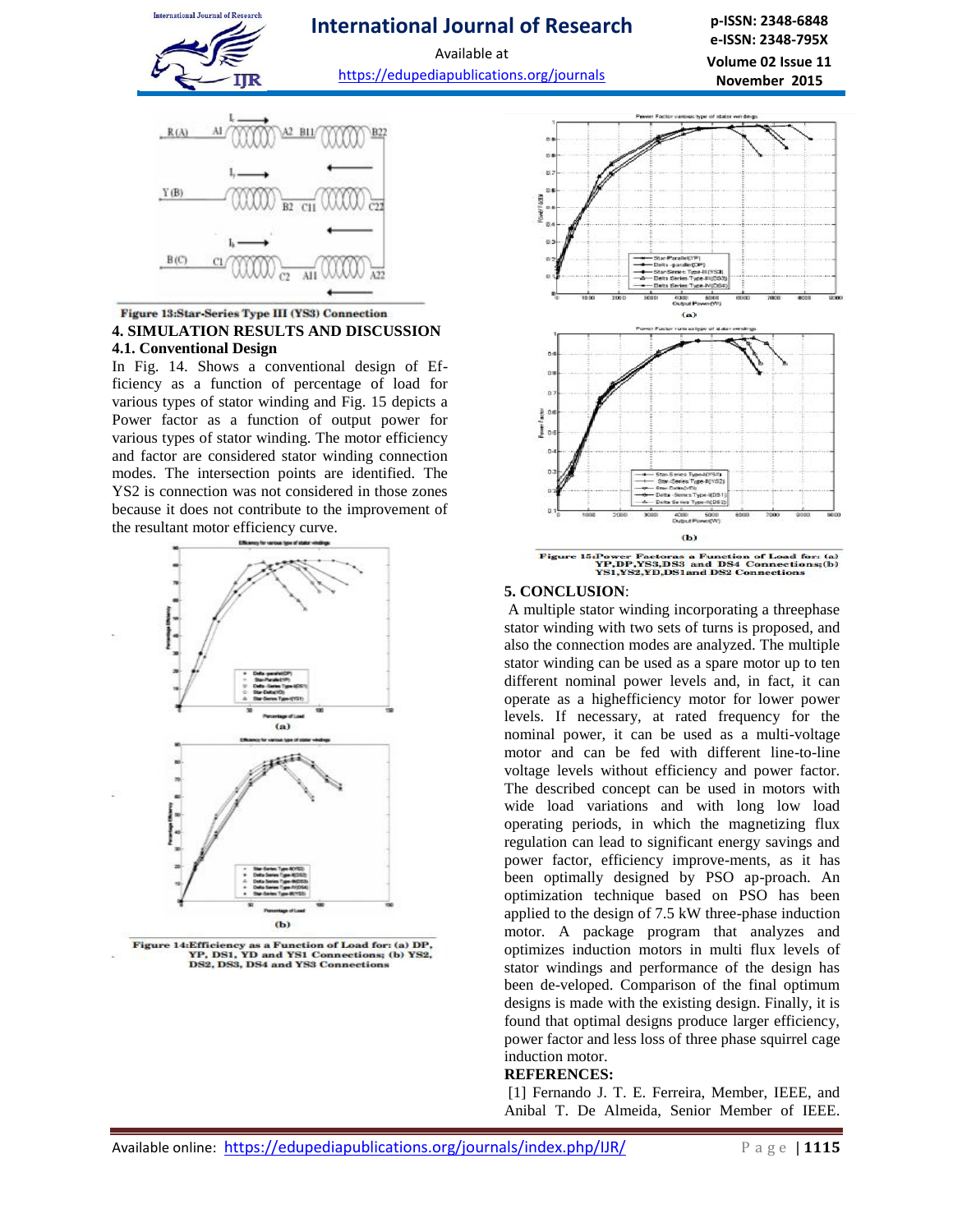

Available at https://edupediapublications.org/journals

**p-ISSN: 2348-6848 e-ISSN: 2348-795X Volume 02 Issue 11 November 2015**



### Figure 13:Star-Series Type III (YS3) Connection **4. SIMULATION RESULTS AND DISCUSSION 4.1. Conventional Design**

In Fig. 14. Shows a conventional design of Efficiency as a function of percentage of load for various types of stator winding and Fig. 15 depicts a Power factor as a function of output power for various types of stator winding. The motor efficiency and factor are considered stator winding connection modes. The intersection points are identified. The YS2 is connection was not considered in those zones because it does not contribute to the improvement of the resultant motor efficiency curve.



**Figure 14:Efficiency as a Function of Load for: (a) DP,<br>YP, DS1, YD and YS1 Connections; (b) YS2,<br>DS2, DS3, DS4 and YS3 Connections** 



## **5. CONCLUSION**:

A multiple stator winding incorporating a threephase stator winding with two sets of turns is proposed, and also the connection modes are analyzed. The multiple stator winding can be used as a spare motor up to ten different nominal power levels and, in fact, it can operate as a highefficiency motor for lower power levels. If necessary, at rated frequency for the nominal power, it can be used as a multi-voltage motor and can be fed with different line-to-line voltage levels without efficiency and power factor. The described concept can be used in motors with wide load variations and with long low load operating periods, in which the magnetizing flux regulation can lead to significant energy savings and power factor, efficiency improve-ments, as it has been optimally designed by PSO ap-proach. An optimization technique based on PSO has been applied to the design of 7.5 kW three-phase induction motor. A package program that analyzes and optimizes induction motors in multi flux levels of stator windings and performance of the design has been de-veloped. Comparison of the final optimum designs is made with the existing design. Finally, it is found that optimal designs produce larger efficiency, power factor and less loss of three phase squirrel cage induction motor.

#### **REFERENCES:**

[1] Fernando J. T. E. Ferreira, Member, IEEE, and Anibal T. De Almeida, Senior Member of IEEE.